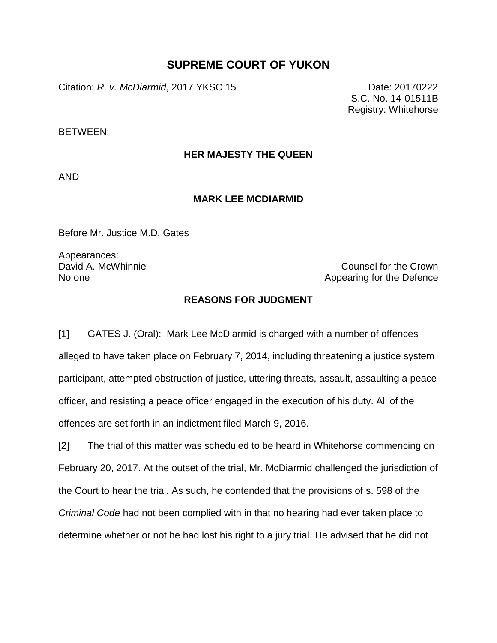# **SUPREME COURT OF YUKON**

Citation: *R. v. McDiarmid*, 2017 YKSC 15 Date: 20170222

S.C. No. 14-01511B Registry: Whitehorse

BETWEEN:

# **HER MAJESTY THE QUEEN**

AND

## **MARK LEE MCDIARMID**

Before Mr. Justice M.D. Gates

Appearances:

David A. McWhinnie Counsel for the Crown Counsel for the Crown No one Appearing for the Defence

## **REASONS FOR JUDGMENT**

[1] GATES J. (Oral): Mark Lee McDiarmid is charged with a number of offences alleged to have taken place on February 7, 2014, including threatening a justice system participant, attempted obstruction of justice, uttering threats, assault, assaulting a peace officer, and resisting a peace officer engaged in the execution of his duty. All of the offences are set forth in an indictment filed March 9, 2016.

[2] The trial of this matter was scheduled to be heard in Whitehorse commencing on February 20, 2017. At the outset of the trial, Mr. McDiarmid challenged the jurisdiction of the Court to hear the trial. As such, he contended that the provisions of s. 598 of the *Criminal Code* had not been complied with in that no hearing had ever taken place to determine whether or not he had lost his right to a jury trial. He advised that he did not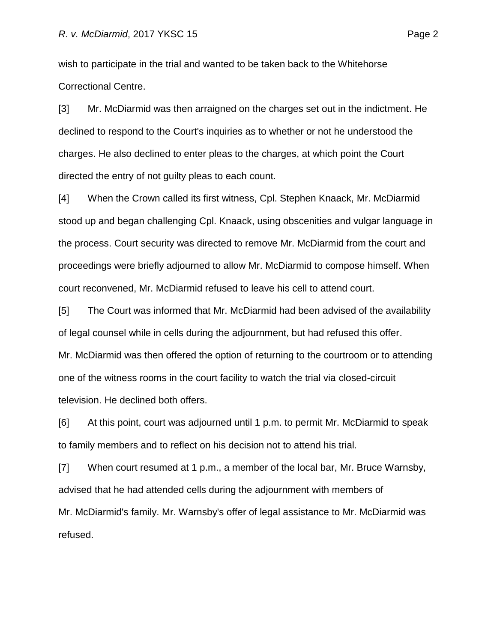wish to participate in the trial and wanted to be taken back to the Whitehorse Correctional Centre.

[3] Mr. McDiarmid was then arraigned on the charges set out in the indictment. He declined to respond to the Court's inquiries as to whether or not he understood the charges. He also declined to enter pleas to the charges, at which point the Court directed the entry of not guilty pleas to each count.

[4] When the Crown called its first witness, Cpl. Stephen Knaack, Mr. McDiarmid stood up and began challenging Cpl. Knaack, using obscenities and vulgar language in the process. Court security was directed to remove Mr. McDiarmid from the court and proceedings were briefly adjourned to allow Mr. McDiarmid to compose himself. When court reconvened, Mr. McDiarmid refused to leave his cell to attend court.

[5] The Court was informed that Mr. McDiarmid had been advised of the availability of legal counsel while in cells during the adjournment, but had refused this offer. Mr. McDiarmid was then offered the option of returning to the courtroom or to attending one of the witness rooms in the court facility to watch the trial via closed-circuit television. He declined both offers.

[6] At this point, court was adjourned until 1 p.m. to permit Mr. McDiarmid to speak to family members and to reflect on his decision not to attend his trial.

[7] When court resumed at 1 p.m., a member of the local bar, Mr. Bruce Warnsby, advised that he had attended cells during the adjournment with members of Mr. McDiarmid's family. Mr. Warnsby's offer of legal assistance to Mr. McDiarmid was refused.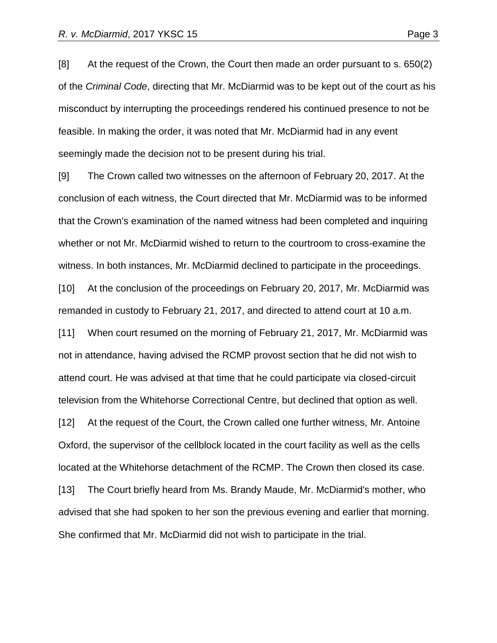[8] At the request of the Crown, the Court then made an order pursuant to s. 650(2) of the *Criminal Code*, directing that Mr. McDiarmid was to be kept out of the court as his misconduct by interrupting the proceedings rendered his continued presence to not be feasible. In making the order, it was noted that Mr. McDiarmid had in any event seemingly made the decision not to be present during his trial.

[9] The Crown called two witnesses on the afternoon of February 20, 2017. At the conclusion of each witness, the Court directed that Mr. McDiarmid was to be informed that the Crown's examination of the named witness had been completed and inquiring whether or not Mr. McDiarmid wished to return to the courtroom to cross-examine the witness. In both instances, Mr. McDiarmid declined to participate in the proceedings.

[10] At the conclusion of the proceedings on February 20, 2017, Mr. McDiarmid was remanded in custody to February 21, 2017, and directed to attend court at 10 a.m.

[11] When court resumed on the morning of February 21, 2017, Mr. McDiarmid was not in attendance, having advised the RCMP provost section that he did not wish to attend court. He was advised at that time that he could participate via closed-circuit television from the Whitehorse Correctional Centre, but declined that option as well.

[12] At the request of the Court, the Crown called one further witness, Mr. Antoine Oxford, the supervisor of the cellblock located in the court facility as well as the cells located at the Whitehorse detachment of the RCMP. The Crown then closed its case. [13] The Court briefly heard from Ms. Brandy Maude, Mr. McDiarmid's mother, who advised that she had spoken to her son the previous evening and earlier that morning. She confirmed that Mr. McDiarmid did not wish to participate in the trial.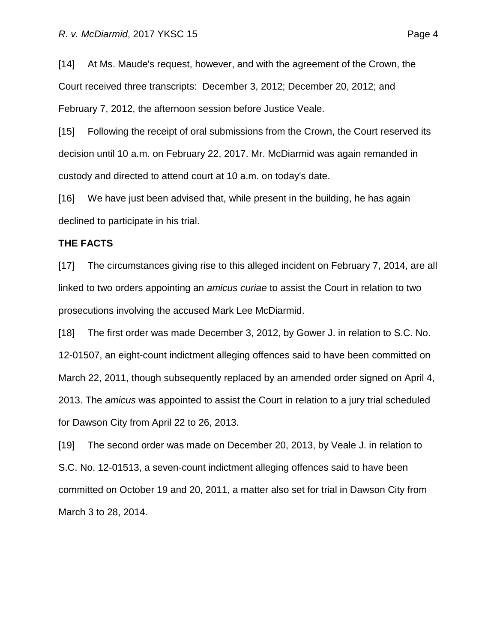[14] At Ms. Maude's request, however, and with the agreement of the Crown, the Court received three transcripts: December 3, 2012; December 20, 2012; and February 7, 2012, the afternoon session before Justice Veale.

[15] Following the receipt of oral submissions from the Crown, the Court reserved its decision until 10 a.m. on February 22, 2017. Mr. McDiarmid was again remanded in custody and directed to attend court at 10 a.m. on today's date.

[16] We have just been advised that, while present in the building, he has again declined to participate in his trial.

### **THE FACTS**

[17] The circumstances giving rise to this alleged incident on February 7, 2014, are all linked to two orders appointing an *amicus curiae* to assist the Court in relation to two prosecutions involving the accused Mark Lee McDiarmid.

[18] The first order was made December 3, 2012, by Gower J. in relation to S.C. No. 12-01507, an eight-count indictment alleging offences said to have been committed on March 22, 2011, though subsequently replaced by an amended order signed on April 4, 2013. The *amicus* was appointed to assist the Court in relation to a jury trial scheduled for Dawson City from April 22 to 26, 2013.

[19] The second order was made on December 20, 2013, by Veale J. in relation to S.C. No. 12-01513, a seven-count indictment alleging offences said to have been committed on October 19 and 20, 2011, a matter also set for trial in Dawson City from March 3 to 28, 2014.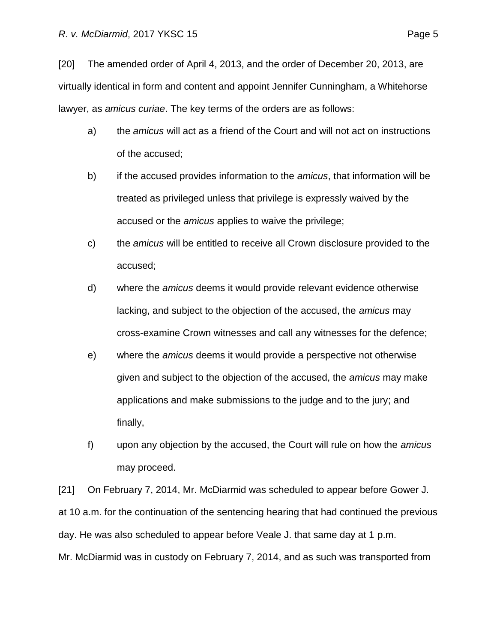[20] The amended order of April 4, 2013, and the order of December 20, 2013, are virtually identical in form and content and appoint Jennifer Cunningham, a Whitehorse lawyer, as *amicus curiae*. The key terms of the orders are as follows:

- a) the *amicus* will act as a friend of the Court and will not act on instructions of the accused;
- b) if the accused provides information to the *amicus*, that information will be treated as privileged unless that privilege is expressly waived by the accused or the *amicus* applies to waive the privilege;
- c) the *amicus* will be entitled to receive all Crown disclosure provided to the accused;
- d) where the *amicus* deems it would provide relevant evidence otherwise lacking, and subject to the objection of the accused, the *amicus* may cross-examine Crown witnesses and call any witnesses for the defence;
- e) where the *amicus* deems it would provide a perspective not otherwise given and subject to the objection of the accused, the *amicus* may make applications and make submissions to the judge and to the jury; and finally,
- f) upon any objection by the accused, the Court will rule on how the *amicus* may proceed.

[21] On February 7, 2014, Mr. McDiarmid was scheduled to appear before Gower J. at 10 a.m. for the continuation of the sentencing hearing that had continued the previous day. He was also scheduled to appear before Veale J. that same day at 1 p.m. Mr. McDiarmid was in custody on February 7, 2014, and as such was transported from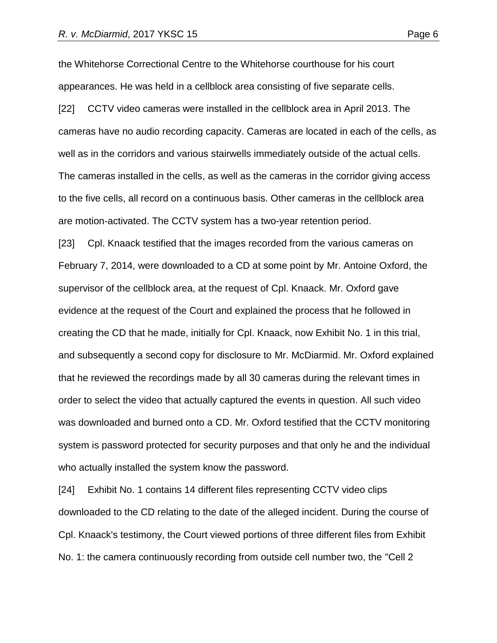the Whitehorse Correctional Centre to the Whitehorse courthouse for his court appearances. He was held in a cellblock area consisting of five separate cells.

[22] CCTV video cameras were installed in the cellblock area in April 2013. The cameras have no audio recording capacity. Cameras are located in each of the cells, as well as in the corridors and various stairwells immediately outside of the actual cells. The cameras installed in the cells, as well as the cameras in the corridor giving access to the five cells, all record on a continuous basis. Other cameras in the cellblock area are motion-activated. The CCTV system has a two-year retention period.

[23] Cpl. Knaack testified that the images recorded from the various cameras on February 7, 2014, were downloaded to a CD at some point by Mr. Antoine Oxford, the supervisor of the cellblock area, at the request of Cpl. Knaack. Mr. Oxford gave evidence at the request of the Court and explained the process that he followed in creating the CD that he made, initially for Cpl. Knaack, now Exhibit No. 1 in this trial, and subsequently a second copy for disclosure to Mr. McDiarmid. Mr. Oxford explained that he reviewed the recordings made by all 30 cameras during the relevant times in order to select the video that actually captured the events in question. All such video was downloaded and burned onto a CD. Mr. Oxford testified that the CCTV monitoring system is password protected for security purposes and that only he and the individual who actually installed the system know the password.

[24] Exhibit No. 1 contains 14 different files representing CCTV video clips downloaded to the CD relating to the date of the alleged incident. During the course of Cpl. Knaack's testimony, the Court viewed portions of three different files from Exhibit No. 1: the camera continuously recording from outside cell number two, the "Cell 2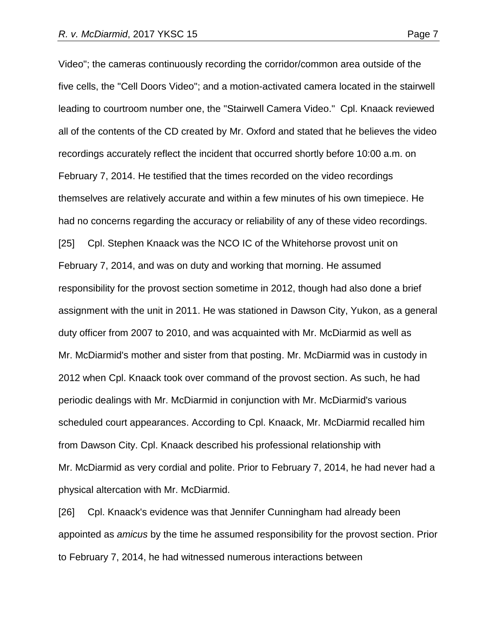Video"; the cameras continuously recording the corridor/common area outside of the five cells, the "Cell Doors Video"; and a motion-activated camera located in the stairwell leading to courtroom number one, the "Stairwell Camera Video." Cpl. Knaack reviewed all of the contents of the CD created by Mr. Oxford and stated that he believes the video recordings accurately reflect the incident that occurred shortly before 10:00 a.m. on February 7, 2014. He testified that the times recorded on the video recordings themselves are relatively accurate and within a few minutes of his own timepiece. He had no concerns regarding the accuracy or reliability of any of these video recordings. [25] Cpl. Stephen Knaack was the NCO IC of the Whitehorse provost unit on February 7, 2014, and was on duty and working that morning. He assumed responsibility for the provost section sometime in 2012, though had also done a brief assignment with the unit in 2011. He was stationed in Dawson City, Yukon, as a general duty officer from 2007 to 2010, and was acquainted with Mr. McDiarmid as well as Mr. McDiarmid's mother and sister from that posting. Mr. McDiarmid was in custody in 2012 when Cpl. Knaack took over command of the provost section. As such, he had periodic dealings with Mr. McDiarmid in conjunction with Mr. McDiarmid's various scheduled court appearances. According to Cpl. Knaack, Mr. McDiarmid recalled him from Dawson City. Cpl. Knaack described his professional relationship with Mr. McDiarmid as very cordial and polite. Prior to February 7, 2014, he had never had a physical altercation with Mr. McDiarmid.

[26] Cpl. Knaack's evidence was that Jennifer Cunningham had already been appointed as *amicus* by the time he assumed responsibility for the provost section. Prior to February 7, 2014, he had witnessed numerous interactions between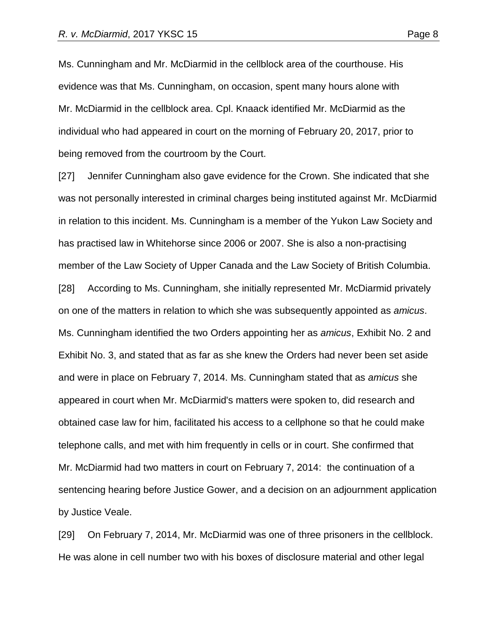Ms. Cunningham and Mr. McDiarmid in the cellblock area of the courthouse. His evidence was that Ms. Cunningham, on occasion, spent many hours alone with Mr. McDiarmid in the cellblock area. Cpl. Knaack identified Mr. McDiarmid as the individual who had appeared in court on the morning of February 20, 2017, prior to being removed from the courtroom by the Court.

[27] Jennifer Cunningham also gave evidence for the Crown. She indicated that she was not personally interested in criminal charges being instituted against Mr. McDiarmid in relation to this incident. Ms. Cunningham is a member of the Yukon Law Society and has practised law in Whitehorse since 2006 or 2007. She is also a non-practising member of the Law Society of Upper Canada and the Law Society of British Columbia. [28] According to Ms. Cunningham, she initially represented Mr. McDiarmid privately on one of the matters in relation to which she was subsequently appointed as *amicus*. Ms. Cunningham identified the two Orders appointing her as *amicus*, Exhibit No. 2 and Exhibit No. 3, and stated that as far as she knew the Orders had never been set aside and were in place on February 7, 2014. Ms. Cunningham stated that as *amicus* she appeared in court when Mr. McDiarmid's matters were spoken to, did research and obtained case law for him, facilitated his access to a cellphone so that he could make telephone calls, and met with him frequently in cells or in court. She confirmed that Mr. McDiarmid had two matters in court on February 7, 2014: the continuation of a sentencing hearing before Justice Gower, and a decision on an adjournment application by Justice Veale.

[29] On February 7, 2014, Mr. McDiarmid was one of three prisoners in the cellblock. He was alone in cell number two with his boxes of disclosure material and other legal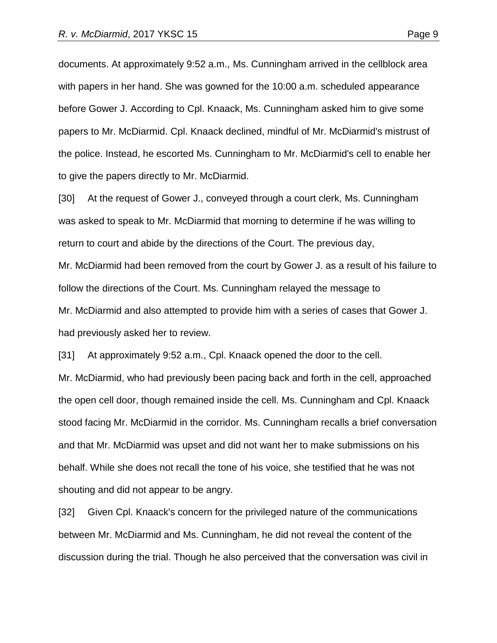documents. At approximately 9:52 a.m., Ms. Cunningham arrived in the cellblock area with papers in her hand. She was gowned for the 10:00 a.m. scheduled appearance before Gower J. According to Cpl. Knaack, Ms. Cunningham asked him to give some papers to Mr. McDiarmid. Cpl. Knaack declined, mindful of Mr. McDiarmid's mistrust of the police. Instead, he escorted Ms. Cunningham to Mr. McDiarmid's cell to enable her to give the papers directly to Mr. McDiarmid.

[30] At the request of Gower J., conveyed through a court clerk, Ms. Cunningham was asked to speak to Mr. McDiarmid that morning to determine if he was willing to return to court and abide by the directions of the Court. The previous day, Mr. McDiarmid had been removed from the court by Gower J. as a result of his failure to follow the directions of the Court. Ms. Cunningham relayed the message to Mr. McDiarmid and also attempted to provide him with a series of cases that Gower J. had previously asked her to review.

[31] At approximately 9:52 a.m., Cpl. Knaack opened the door to the cell. Mr. McDiarmid, who had previously been pacing back and forth in the cell, approached the open cell door, though remained inside the cell. Ms. Cunningham and Cpl. Knaack stood facing Mr. McDiarmid in the corridor. Ms. Cunningham recalls a brief conversation and that Mr. McDiarmid was upset and did not want her to make submissions on his behalf. While she does not recall the tone of his voice, she testified that he was not shouting and did not appear to be angry.

[32] Given Cpl. Knaack's concern for the privileged nature of the communications between Mr. McDiarmid and Ms. Cunningham, he did not reveal the content of the discussion during the trial. Though he also perceived that the conversation was civil in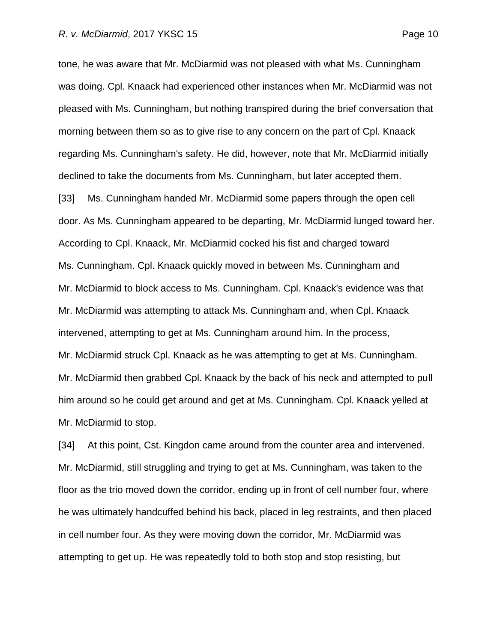tone, he was aware that Mr. McDiarmid was not pleased with what Ms. Cunningham was doing. Cpl. Knaack had experienced other instances when Mr. McDiarmid was not pleased with Ms. Cunningham, but nothing transpired during the brief conversation that morning between them so as to give rise to any concern on the part of Cpl. Knaack regarding Ms. Cunningham's safety. He did, however, note that Mr. McDiarmid initially declined to take the documents from Ms. Cunningham, but later accepted them. [33] Ms. Cunningham handed Mr. McDiarmid some papers through the open cell door. As Ms. Cunningham appeared to be departing, Mr. McDiarmid lunged toward her. According to Cpl. Knaack, Mr. McDiarmid cocked his fist and charged toward Ms. Cunningham. Cpl. Knaack quickly moved in between Ms. Cunningham and Mr. McDiarmid to block access to Ms. Cunningham. Cpl. Knaack's evidence was that Mr. McDiarmid was attempting to attack Ms. Cunningham and, when Cpl. Knaack intervened, attempting to get at Ms. Cunningham around him. In the process, Mr. McDiarmid struck Cpl. Knaack as he was attempting to get at Ms. Cunningham. Mr. McDiarmid then grabbed Cpl. Knaack by the back of his neck and attempted to pull him around so he could get around and get at Ms. Cunningham. Cpl. Knaack yelled at Mr. McDiarmid to stop.

[34] At this point, Cst. Kingdon came around from the counter area and intervened. Mr. McDiarmid, still struggling and trying to get at Ms. Cunningham, was taken to the floor as the trio moved down the corridor, ending up in front of cell number four, where he was ultimately handcuffed behind his back, placed in leg restraints, and then placed in cell number four. As they were moving down the corridor, Mr. McDiarmid was attempting to get up. He was repeatedly told to both stop and stop resisting, but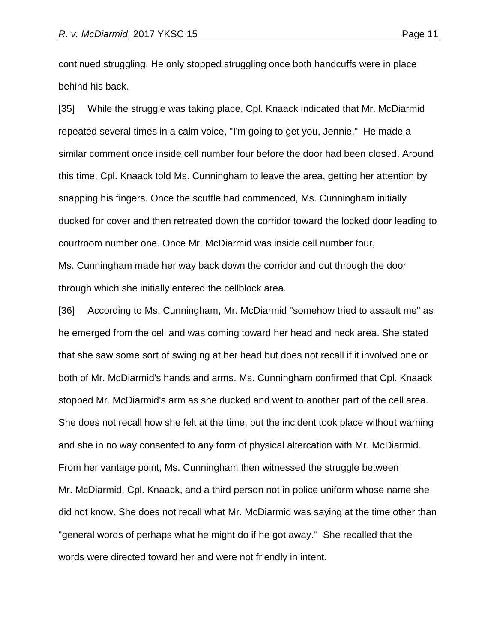continued struggling. He only stopped struggling once both handcuffs were in place behind his back.

[35] While the struggle was taking place, Cpl. Knaack indicated that Mr. McDiarmid repeated several times in a calm voice, "I'm going to get you, Jennie." He made a similar comment once inside cell number four before the door had been closed. Around this time, Cpl. Knaack told Ms. Cunningham to leave the area, getting her attention by snapping his fingers. Once the scuffle had commenced, Ms. Cunningham initially ducked for cover and then retreated down the corridor toward the locked door leading to courtroom number one. Once Mr. McDiarmid was inside cell number four, Ms. Cunningham made her way back down the corridor and out through the door through which she initially entered the cellblock area.

[36] According to Ms. Cunningham, Mr. McDiarmid "somehow tried to assault me" as he emerged from the cell and was coming toward her head and neck area. She stated that she saw some sort of swinging at her head but does not recall if it involved one or both of Mr. McDiarmid's hands and arms. Ms. Cunningham confirmed that Cpl. Knaack stopped Mr. McDiarmid's arm as she ducked and went to another part of the cell area. She does not recall how she felt at the time, but the incident took place without warning and she in no way consented to any form of physical altercation with Mr. McDiarmid. From her vantage point, Ms. Cunningham then witnessed the struggle between Mr. McDiarmid, Cpl. Knaack, and a third person not in police uniform whose name she did not know. She does not recall what Mr. McDiarmid was saying at the time other than "general words of perhaps what he might do if he got away." She recalled that the words were directed toward her and were not friendly in intent.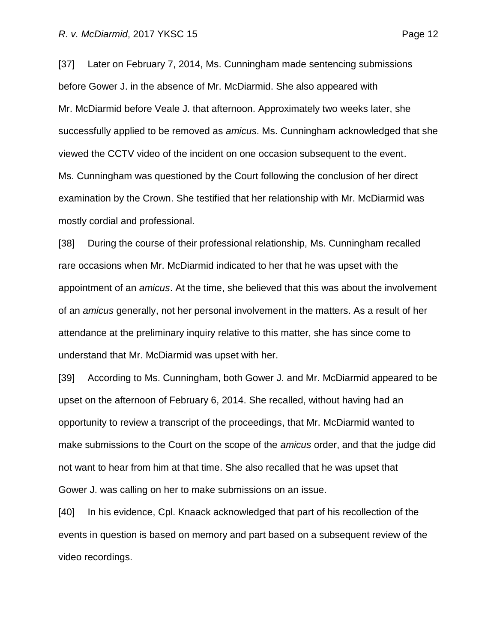[37] Later on February 7, 2014, Ms. Cunningham made sentencing submissions before Gower J. in the absence of Mr. McDiarmid. She also appeared with Mr. McDiarmid before Veale J. that afternoon. Approximately two weeks later, she successfully applied to be removed as *amicus*. Ms. Cunningham acknowledged that she viewed the CCTV video of the incident on one occasion subsequent to the event. Ms. Cunningham was questioned by the Court following the conclusion of her direct examination by the Crown. She testified that her relationship with Mr. McDiarmid was mostly cordial and professional.

[38] During the course of their professional relationship, Ms. Cunningham recalled rare occasions when Mr. McDiarmid indicated to her that he was upset with the appointment of an *amicus*. At the time, she believed that this was about the involvement of an *amicus* generally, not her personal involvement in the matters. As a result of her attendance at the preliminary inquiry relative to this matter, she has since come to understand that Mr. McDiarmid was upset with her.

[39] According to Ms. Cunningham, both Gower J. and Mr. McDiarmid appeared to be upset on the afternoon of February 6, 2014. She recalled, without having had an opportunity to review a transcript of the proceedings, that Mr. McDiarmid wanted to make submissions to the Court on the scope of the *amicus* order, and that the judge did not want to hear from him at that time. She also recalled that he was upset that Gower J. was calling on her to make submissions on an issue.

[40] In his evidence, Cpl. Knaack acknowledged that part of his recollection of the events in question is based on memory and part based on a subsequent review of the video recordings.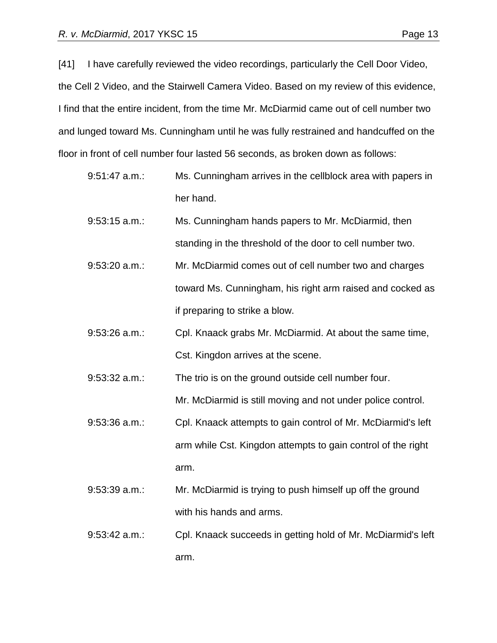[41] I have carefully reviewed the video recordings, particularly the Cell Door Video, the Cell 2 Video, and the Stairwell Camera Video. Based on my review of this evidence, I find that the entire incident, from the time Mr. McDiarmid came out of cell number two and lunged toward Ms. Cunningham until he was fully restrained and handcuffed on the floor in front of cell number four lasted 56 seconds, as broken down as follows:

- 9:51:47 a.m.: Ms. Cunningham arrives in the cellblock area with papers in her hand.
- 9:53:15 a.m.: Ms. Cunningham hands papers to Mr. McDiarmid, then standing in the threshold of the door to cell number two.
- 9:53:20 a.m.: Mr. McDiarmid comes out of cell number two and charges toward Ms. Cunningham, his right arm raised and cocked as if preparing to strike a blow.
- 9:53:26 a.m.: Cpl. Knaack grabs Mr. McDiarmid. At about the same time, Cst. Kingdon arrives at the scene.

9:53:32 a.m.: The trio is on the ground outside cell number four. Mr. McDiarmid is still moving and not under police control.

- 9:53:36 a.m.: Cpl. Knaack attempts to gain control of Mr. McDiarmid's left arm while Cst. Kingdon attempts to gain control of the right arm.
- 9:53:39 a.m.: Mr. McDiarmid is trying to push himself up off the ground with his hands and arms.
- 9:53:42 a.m.: Cpl. Knaack succeeds in getting hold of Mr. McDiarmid's left arm.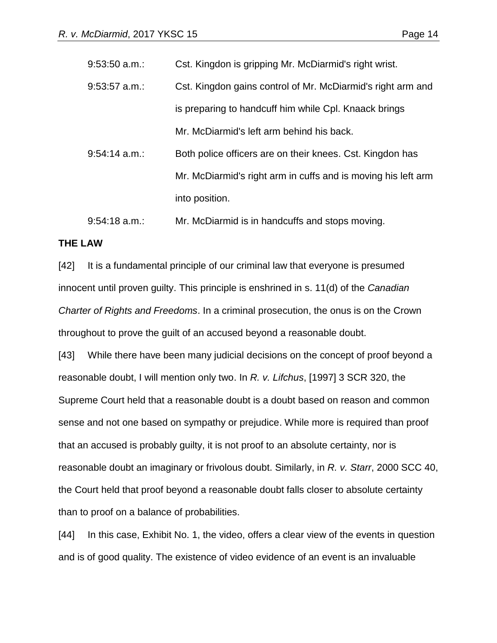| $9:53:50$ a.m.: | Cst. Kingdon is gripping Mr. McDiarmid's right wrist.         |
|-----------------|---------------------------------------------------------------|
| $9:53:57$ a.m.: | Cst. Kingdon gains control of Mr. McDiarmid's right arm and   |
|                 | is preparing to handcuff him while Cpl. Knaack brings         |
|                 | Mr. McDiarmid's left arm behind his back.                     |
| $9:54:14$ a.m.: | Both police officers are on their knees. Cst. Kingdon has     |
|                 | Mr. McDiarmid's right arm in cuffs and is moving his left arm |
|                 | into position.                                                |
|                 |                                                               |

9:54:18 a.m.: Mr. McDiarmid is in handcuffs and stops moving.

### **THE LAW**

[42] It is a fundamental principle of our criminal law that everyone is presumed innocent until proven guilty. This principle is enshrined in s. 11(d) of the *Canadian Charter of Rights and Freedoms*. In a criminal prosecution, the onus is on the Crown throughout to prove the guilt of an accused beyond a reasonable doubt.

[43] While there have been many judicial decisions on the concept of proof beyond a reasonable doubt, I will mention only two. In *R. v. Lifchus*, [1997] 3 SCR 320, the Supreme Court held that a reasonable doubt is a doubt based on reason and common sense and not one based on sympathy or prejudice. While more is required than proof that an accused is probably guilty, it is not proof to an absolute certainty, nor is reasonable doubt an imaginary or frivolous doubt. Similarly, in *R. v. Starr*, 2000 SCC 40, the Court held that proof beyond a reasonable doubt falls closer to absolute certainty than to proof on a balance of probabilities.

[44] In this case, Exhibit No. 1, the video, offers a clear view of the events in question and is of good quality. The existence of video evidence of an event is an invaluable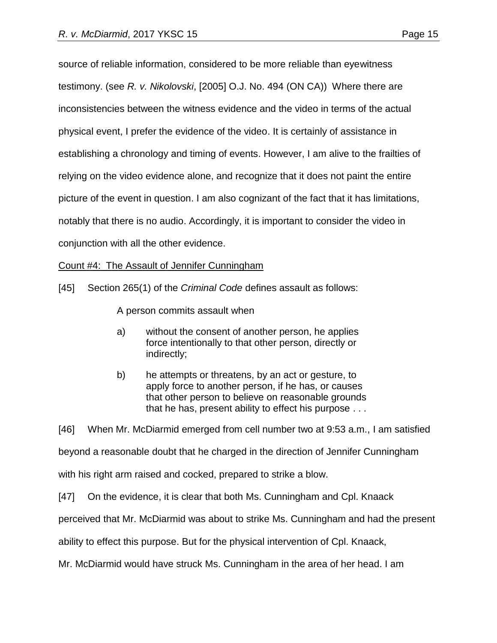source of reliable information, considered to be more reliable than eyewitness testimony. (see *R. v. Nikolovski*, [2005] O.J. No. 494 (ON CA)) Where there are inconsistencies between the witness evidence and the video in terms of the actual physical event, I prefer the evidence of the video. It is certainly of assistance in establishing a chronology and timing of events. However, I am alive to the frailties of relying on the video evidence alone, and recognize that it does not paint the entire picture of the event in question. I am also cognizant of the fact that it has limitations, notably that there is no audio. Accordingly, it is important to consider the video in conjunction with all the other evidence.

# Count #4: The Assault of Jennifer Cunningham

[45] Section 265(1) of the *Criminal Code* defines assault as follows:

A person commits assault when

- a) without the consent of another person, he applies force intentionally to that other person, directly or indirectly;
- b) he attempts or threatens, by an act or gesture, to apply force to another person, if he has, or causes that other person to believe on reasonable grounds that he has, present ability to effect his purpose . . .

[46] When Mr. McDiarmid emerged from cell number two at 9:53 a.m., I am satisfied beyond a reasonable doubt that he charged in the direction of Jennifer Cunningham with his right arm raised and cocked, prepared to strike a blow.

[47] On the evidence, it is clear that both Ms. Cunningham and Cpl. Knaack

perceived that Mr. McDiarmid was about to strike Ms. Cunningham and had the present

ability to effect this purpose. But for the physical intervention of Cpl. Knaack,

Mr. McDiarmid would have struck Ms. Cunningham in the area of her head. I am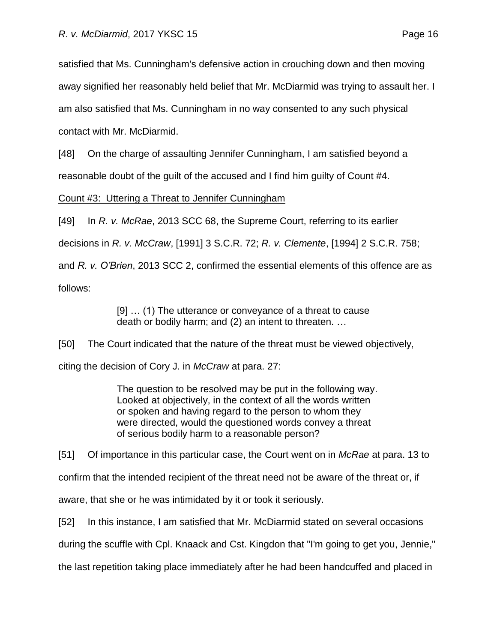satisfied that Ms. Cunningham's defensive action in crouching down and then moving

away signified her reasonably held belief that Mr. McDiarmid was trying to assault her. I

am also satisfied that Ms. Cunningham in no way consented to any such physical

contact with Mr. McDiarmid.

[48] On the charge of assaulting Jennifer Cunningham, I am satisfied beyond a

reasonable doubt of the guilt of the accused and I find him guilty of Count #4.

Count #3: Uttering a Threat to Jennifer Cunningham

[49] In *R. v. McRae*, 2013 SCC 68, the Supreme Court, referring to its earlier

decisions in *R. v. McCraw*, [1991] 3 S.C.R. 72; *R. v. Clemente*, [1994] 2 S.C.R. 758;

and *R. v. O'Brien*, 2013 SCC 2, confirmed the essential elements of this offence are as follows:

[9] … (1) The utterance or conveyance of a threat to cause death or bodily harm; and (2) an intent to threaten. …

[50] The Court indicated that the nature of the threat must be viewed objectively,

citing the decision of Cory J. in *McCraw* at para. 27:

The question to be resolved may be put in the following way. Looked at objectively, in the context of all the words written or spoken and having regard to the person to whom they were directed, would the questioned words convey a threat of serious bodily harm to a reasonable person?

[51] Of importance in this particular case, the Court went on in *McRae* at para. 13 to

confirm that the intended recipient of the threat need not be aware of the threat or, if

aware, that she or he was intimidated by it or took it seriously.

[52] In this instance, I am satisfied that Mr. McDiarmid stated on several occasions

during the scuffle with Cpl. Knaack and Cst. Kingdon that "I'm going to get you, Jennie,"

the last repetition taking place immediately after he had been handcuffed and placed in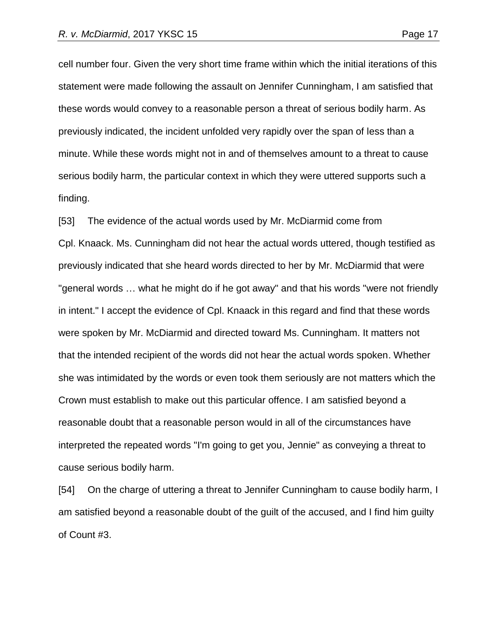cell number four. Given the very short time frame within which the initial iterations of this statement were made following the assault on Jennifer Cunningham, I am satisfied that these words would convey to a reasonable person a threat of serious bodily harm. As previously indicated, the incident unfolded very rapidly over the span of less than a minute. While these words might not in and of themselves amount to a threat to cause serious bodily harm, the particular context in which they were uttered supports such a finding.

[53] The evidence of the actual words used by Mr. McDiarmid come from Cpl. Knaack. Ms. Cunningham did not hear the actual words uttered, though testified as previously indicated that she heard words directed to her by Mr. McDiarmid that were "general words … what he might do if he got away" and that his words "were not friendly in intent." I accept the evidence of Cpl. Knaack in this regard and find that these words were spoken by Mr. McDiarmid and directed toward Ms. Cunningham. It matters not that the intended recipient of the words did not hear the actual words spoken. Whether she was intimidated by the words or even took them seriously are not matters which the Crown must establish to make out this particular offence. I am satisfied beyond a reasonable doubt that a reasonable person would in all of the circumstances have interpreted the repeated words "I'm going to get you, Jennie" as conveying a threat to cause serious bodily harm.

[54] On the charge of uttering a threat to Jennifer Cunningham to cause bodily harm, I am satisfied beyond a reasonable doubt of the guilt of the accused, and I find him guilty of Count #3.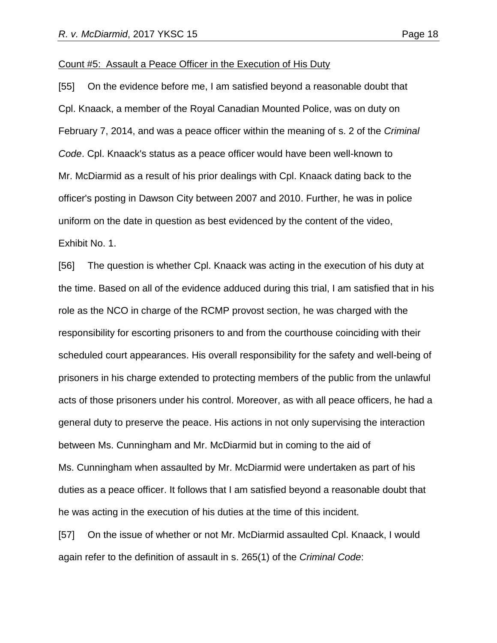#### Count #5: Assault a Peace Officer in the Execution of His Duty

[55] On the evidence before me, I am satisfied beyond a reasonable doubt that Cpl. Knaack, a member of the Royal Canadian Mounted Police, was on duty on February 7, 2014, and was a peace officer within the meaning of s. 2 of the *Criminal Code*. Cpl. Knaack's status as a peace officer would have been well-known to Mr. McDiarmid as a result of his prior dealings with Cpl. Knaack dating back to the officer's posting in Dawson City between 2007 and 2010. Further, he was in police uniform on the date in question as best evidenced by the content of the video, Exhibit No. 1.

[56] The question is whether Cpl. Knaack was acting in the execution of his duty at the time. Based on all of the evidence adduced during this trial, I am satisfied that in his role as the NCO in charge of the RCMP provost section, he was charged with the responsibility for escorting prisoners to and from the courthouse coinciding with their scheduled court appearances. His overall responsibility for the safety and well-being of prisoners in his charge extended to protecting members of the public from the unlawful acts of those prisoners under his control. Moreover, as with all peace officers, he had a general duty to preserve the peace. His actions in not only supervising the interaction between Ms. Cunningham and Mr. McDiarmid but in coming to the aid of Ms. Cunningham when assaulted by Mr. McDiarmid were undertaken as part of his duties as a peace officer. It follows that I am satisfied beyond a reasonable doubt that he was acting in the execution of his duties at the time of this incident.

[57] On the issue of whether or not Mr. McDiarmid assaulted Cpl. Knaack, I would again refer to the definition of assault in s. 265(1) of the *Criminal Code*: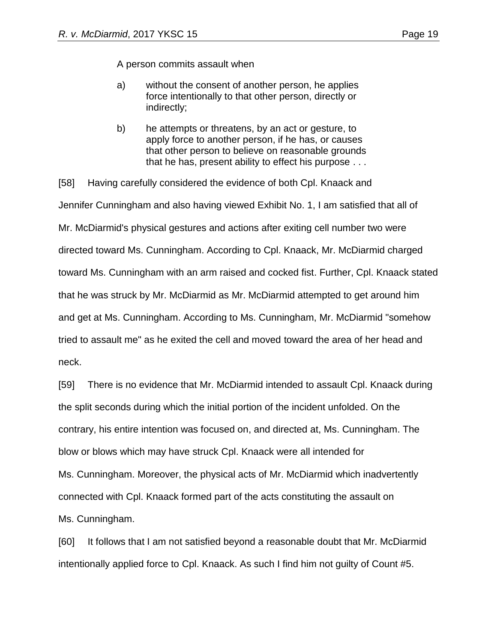A person commits assault when

- a) without the consent of another person, he applies force intentionally to that other person, directly or indirectly;
- b) he attempts or threatens, by an act or gesture, to apply force to another person, if he has, or causes that other person to believe on reasonable grounds that he has, present ability to effect his purpose . . .

[58] Having carefully considered the evidence of both Cpl. Knaack and Jennifer Cunningham and also having viewed Exhibit No. 1, I am satisfied that all of Mr. McDiarmid's physical gestures and actions after exiting cell number two were directed toward Ms. Cunningham. According to Cpl. Knaack, Mr. McDiarmid charged toward Ms. Cunningham with an arm raised and cocked fist. Further, Cpl. Knaack stated that he was struck by Mr. McDiarmid as Mr. McDiarmid attempted to get around him and get at Ms. Cunningham. According to Ms. Cunningham, Mr. McDiarmid "somehow tried to assault me" as he exited the cell and moved toward the area of her head and neck.

[59] There is no evidence that Mr. McDiarmid intended to assault Cpl. Knaack during the split seconds during which the initial portion of the incident unfolded. On the contrary, his entire intention was focused on, and directed at, Ms. Cunningham. The blow or blows which may have struck Cpl. Knaack were all intended for Ms. Cunningham. Moreover, the physical acts of Mr. McDiarmid which inadvertently connected with Cpl. Knaack formed part of the acts constituting the assault on Ms. Cunningham.

[60] It follows that I am not satisfied beyond a reasonable doubt that Mr. McDiarmid intentionally applied force to Cpl. Knaack. As such I find him not guilty of Count #5.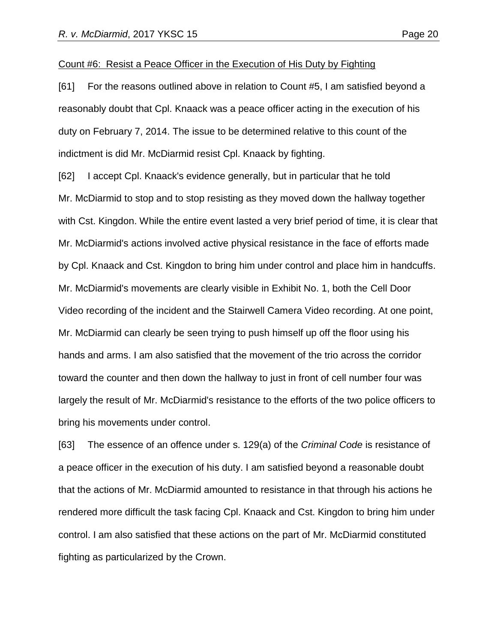#### Count #6: Resist a Peace Officer in the Execution of His Duty by Fighting

[61] For the reasons outlined above in relation to Count #5, I am satisfied beyond a reasonably doubt that Cpl. Knaack was a peace officer acting in the execution of his duty on February 7, 2014. The issue to be determined relative to this count of the indictment is did Mr. McDiarmid resist Cpl. Knaack by fighting.

[62] I accept Cpl. Knaack's evidence generally, but in particular that he told Mr. McDiarmid to stop and to stop resisting as they moved down the hallway together with Cst. Kingdon. While the entire event lasted a very brief period of time, it is clear that Mr. McDiarmid's actions involved active physical resistance in the face of efforts made by Cpl. Knaack and Cst. Kingdon to bring him under control and place him in handcuffs. Mr. McDiarmid's movements are clearly visible in Exhibit No. 1, both the Cell Door Video recording of the incident and the Stairwell Camera Video recording. At one point, Mr. McDiarmid can clearly be seen trying to push himself up off the floor using his hands and arms. I am also satisfied that the movement of the trio across the corridor toward the counter and then down the hallway to just in front of cell number four was largely the result of Mr. McDiarmid's resistance to the efforts of the two police officers to bring his movements under control.

[63] The essence of an offence under s. 129(a) of the *Criminal Code* is resistance of a peace officer in the execution of his duty. I am satisfied beyond a reasonable doubt that the actions of Mr. McDiarmid amounted to resistance in that through his actions he rendered more difficult the task facing Cpl. Knaack and Cst. Kingdon to bring him under control. I am also satisfied that these actions on the part of Mr. McDiarmid constituted fighting as particularized by the Crown.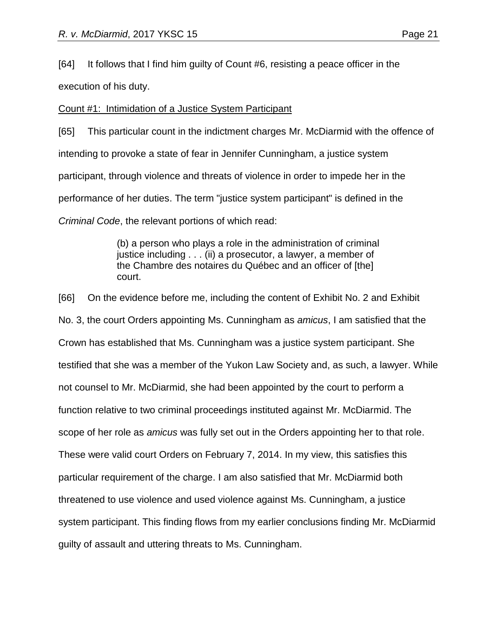[64] It follows that I find him guilty of Count #6, resisting a peace officer in the

execution of his duty.

# Count #1: Intimidation of a Justice System Participant

[65] This particular count in the indictment charges Mr. McDiarmid with the offence of intending to provoke a state of fear in Jennifer Cunningham, a justice system participant, through violence and threats of violence in order to impede her in the performance of her duties. The term "justice system participant" is defined in the *Criminal Code*, the relevant portions of which read:

> (b) a person who plays a role in the administration of criminal justice including . . . (ii) a prosecutor, a lawyer, a member of the Chambre des notaires du Québec and an officer of [the] court.

[66] On the evidence before me, including the content of Exhibit No. 2 and Exhibit No. 3, the court Orders appointing Ms. Cunningham as *amicus*, I am satisfied that the Crown has established that Ms. Cunningham was a justice system participant. She testified that she was a member of the Yukon Law Society and, as such, a lawyer. While not counsel to Mr. McDiarmid, she had been appointed by the court to perform a function relative to two criminal proceedings instituted against Mr. McDiarmid. The scope of her role as *amicus* was fully set out in the Orders appointing her to that role. These were valid court Orders on February 7, 2014. In my view, this satisfies this particular requirement of the charge. I am also satisfied that Mr. McDiarmid both threatened to use violence and used violence against Ms. Cunningham, a justice system participant. This finding flows from my earlier conclusions finding Mr. McDiarmid guilty of assault and uttering threats to Ms. Cunningham.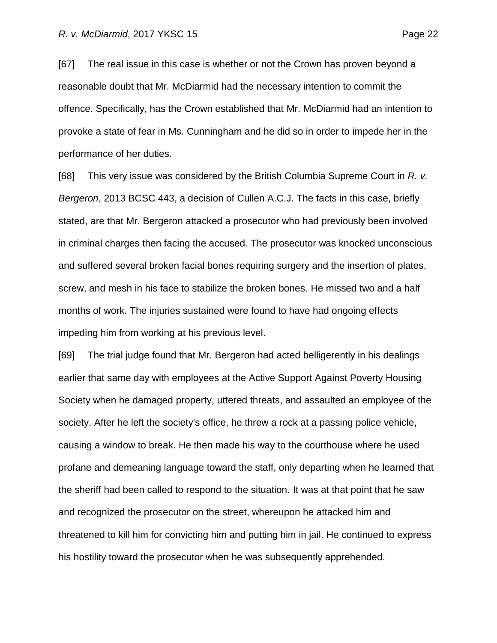[67] The real issue in this case is whether or not the Crown has proven beyond a reasonable doubt that Mr. McDiarmid had the necessary intention to commit the offence. Specifically, has the Crown established that Mr. McDiarmid had an intention to provoke a state of fear in Ms. Cunningham and he did so in order to impede her in the performance of her duties.

[68] This very issue was considered by the British Columbia Supreme Court in *R. v. Bergeron*, 2013 BCSC 443, a decision of Cullen A.C.J. The facts in this case, briefly stated, are that Mr. Bergeron attacked a prosecutor who had previously been involved in criminal charges then facing the accused. The prosecutor was knocked unconscious and suffered several broken facial bones requiring surgery and the insertion of plates, screw, and mesh in his face to stabilize the broken bones. He missed two and a half months of work. The injuries sustained were found to have had ongoing effects impeding him from working at his previous level.

[69] The trial judge found that Mr. Bergeron had acted belligerently in his dealings earlier that same day with employees at the Active Support Against Poverty Housing Society when he damaged property, uttered threats, and assaulted an employee of the society. After he left the society's office, he threw a rock at a passing police vehicle, causing a window to break. He then made his way to the courthouse where he used profane and demeaning language toward the staff, only departing when he learned that the sheriff had been called to respond to the situation. It was at that point that he saw and recognized the prosecutor on the street, whereupon he attacked him and threatened to kill him for convicting him and putting him in jail. He continued to express his hostility toward the prosecutor when he was subsequently apprehended.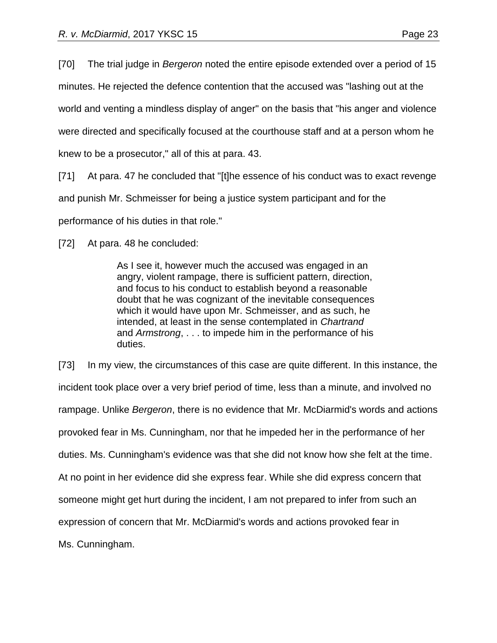[70] The trial judge in *Bergeron* noted the entire episode extended over a period of 15 minutes. He rejected the defence contention that the accused was "lashing out at the world and venting a mindless display of anger" on the basis that "his anger and violence were directed and specifically focused at the courthouse staff and at a person whom he knew to be a prosecutor," all of this at para. 43.

[71] At para. 47 he concluded that "[t]he essence of his conduct was to exact revenge and punish Mr. Schmeisser for being a justice system participant and for the performance of his duties in that role."

[72] At para. 48 he concluded:

As I see it, however much the accused was engaged in an angry, violent rampage, there is sufficient pattern, direction, and focus to his conduct to establish beyond a reasonable doubt that he was cognizant of the inevitable consequences which it would have upon Mr. Schmeisser, and as such, he intended, at least in the sense contemplated in *Chartrand* and *Armstrong*, . . . to impede him in the performance of his duties.

[73] In my view, the circumstances of this case are quite different. In this instance, the incident took place over a very brief period of time, less than a minute, and involved no rampage. Unlike *Bergeron*, there is no evidence that Mr. McDiarmid's words and actions provoked fear in Ms. Cunningham, nor that he impeded her in the performance of her duties. Ms. Cunningham's evidence was that she did not know how she felt at the time. At no point in her evidence did she express fear. While she did express concern that someone might get hurt during the incident, I am not prepared to infer from such an expression of concern that Mr. McDiarmid's words and actions provoked fear in Ms. Cunningham.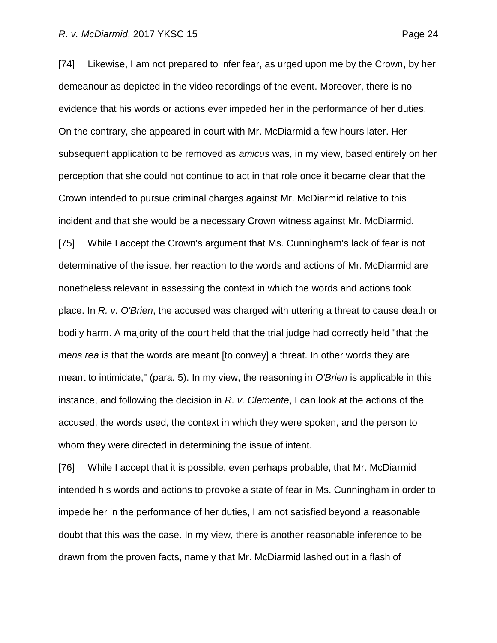[74] Likewise, I am not prepared to infer fear, as urged upon me by the Crown, by her demeanour as depicted in the video recordings of the event. Moreover, there is no evidence that his words or actions ever impeded her in the performance of her duties. On the contrary, she appeared in court with Mr. McDiarmid a few hours later. Her subsequent application to be removed as *amicus* was, in my view, based entirely on her perception that she could not continue to act in that role once it became clear that the Crown intended to pursue criminal charges against Mr. McDiarmid relative to this

incident and that she would be a necessary Crown witness against Mr. McDiarmid.

[75] While I accept the Crown's argument that Ms. Cunningham's lack of fear is not determinative of the issue, her reaction to the words and actions of Mr. McDiarmid are nonetheless relevant in assessing the context in which the words and actions took place. In *R. v. O'Brien*, the accused was charged with uttering a threat to cause death or bodily harm. A majority of the court held that the trial judge had correctly held "that the *mens rea* is that the words are meant [to convey] a threat. In other words they are meant to intimidate," (para. 5). In my view, the reasoning in *O'Brien* is applicable in this instance, and following the decision in *R. v. Clemente*, I can look at the actions of the accused, the words used, the context in which they were spoken, and the person to whom they were directed in determining the issue of intent.

[76] While I accept that it is possible, even perhaps probable, that Mr. McDiarmid intended his words and actions to provoke a state of fear in Ms. Cunningham in order to impede her in the performance of her duties, I am not satisfied beyond a reasonable doubt that this was the case. In my view, there is another reasonable inference to be drawn from the proven facts, namely that Mr. McDiarmid lashed out in a flash of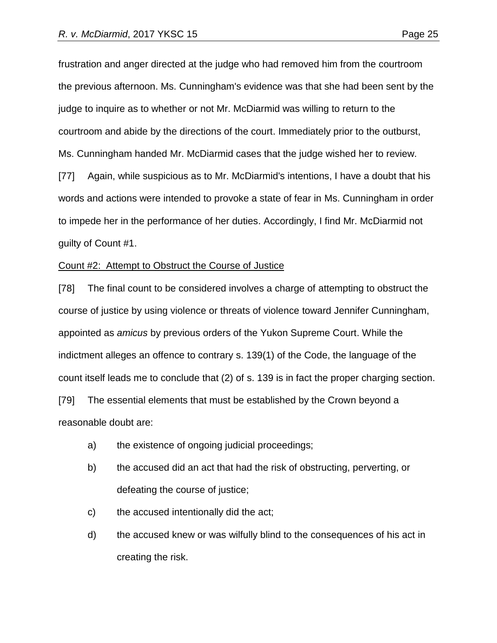frustration and anger directed at the judge who had removed him from the courtroom the previous afternoon. Ms. Cunningham's evidence was that she had been sent by the judge to inquire as to whether or not Mr. McDiarmid was willing to return to the courtroom and abide by the directions of the court. Immediately prior to the outburst, Ms. Cunningham handed Mr. McDiarmid cases that the judge wished her to review.

[77] Again, while suspicious as to Mr. McDiarmid's intentions, I have a doubt that his words and actions were intended to provoke a state of fear in Ms. Cunningham in order to impede her in the performance of her duties. Accordingly, I find Mr. McDiarmid not guilty of Count #1.

#### Count #2: Attempt to Obstruct the Course of Justice

[78] The final count to be considered involves a charge of attempting to obstruct the course of justice by using violence or threats of violence toward Jennifer Cunningham, appointed as *amicus* by previous orders of the Yukon Supreme Court. While the indictment alleges an offence to contrary s. 139(1) of the Code, the language of the count itself leads me to conclude that (2) of s. 139 is in fact the proper charging section. [79] The essential elements that must be established by the Crown beyond a

reasonable doubt are:

- a) the existence of ongoing judicial proceedings;
- b) the accused did an act that had the risk of obstructing, perverting, or defeating the course of justice;
- c) the accused intentionally did the act;
- d) the accused knew or was wilfully blind to the consequences of his act in creating the risk.